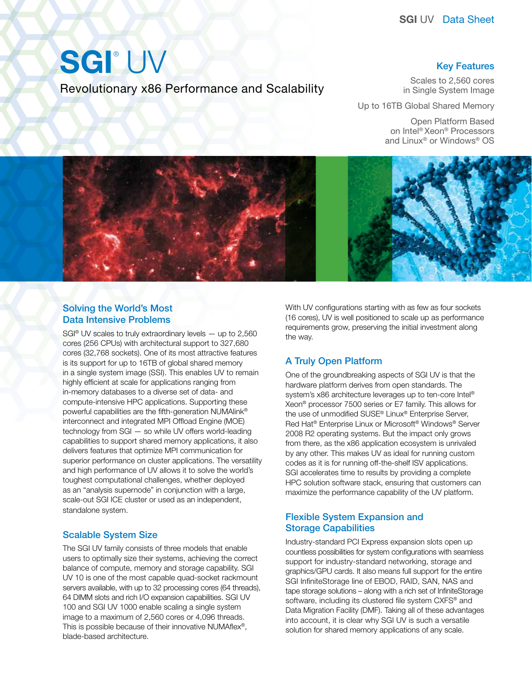# SGI®UV

Revolutionary x86 Performance and Scalability

#### Key Features

Scales to 2,560 cores in Single System Image

Up to 16TB Global Shared Memory

Open Platform Based on Intel® Xeon® Processors and Linux® or Windows® OS



#### Solving the World's Most Data Intensive Problems

SGI<sup>®</sup> UV scales to truly extraordinary levels  $-$  up to 2,560 cores (256 CPUs) with architectural support to 327,680 cores (32,768 sockets). One of its most attractive features is its support for up to 16TB of global shared memory in a single system image (SSI). This enables UV to remain highly efficient at scale for applications ranging from in-memory databases to a diverse set of data- and compute-intensive HPC applications. Supporting these powerful capabilities are the fifth-generation NUMAlink® interconnect and integrated MPI Offload Engine (MOE) technology from SGI — so while UV offers world-leading capabilities to support shared memory applications, it also delivers features that optimize MPI communication for superior performance on cluster applications. The versatility and high performance of UV allows it to solve the world's toughest computational challenges, whether deployed as an "analysis supernode" in conjunction with a large, scale-out SGI ICE cluster or used as an independent, standalone system.

### Scalable System Size

The SGI UV family consists of three models that enable users to optimally size their systems, achieving the correct balance of compute, memory and storage capability. SGI UV 10 is one of the most capable quad-socket rackmount servers available, with up to 32 processing cores (64 threads), 64 DIMM slots and rich I/O expansion capabilities. SGI UV 100 and SGI UV 1000 enable scaling a single system image to a maximum of 2,560 cores or 4,096 threads. This is possible because of their innovative NUMAflex®, blade-based architecture.

With UV configurations starting with as few as four sockets (16 cores), UV is well positioned to scale up as performance requirements grow, preserving the initial investment along the way.

## A Truly Open Platform

One of the groundbreaking aspects of SGI UV is that the hardware platform derives from open standards. The system's x86 architecture leverages up to ten-core Intel® Xeon® processor 7500 series or E7 family. This allows for the use of unmodified SUSE® Linux® Enterprise Server, Red Hat® Enterprise Linux or Microsoft® Windows® Server 2008 R2 operating systems. But the impact only grows from there, as the x86 application ecosystem is unrivaled by any other. This makes UV as ideal for running custom codes as it is for running off-the-shelf ISV applications. SGI accelerates time to results by providing a complete HPC solution software stack, ensuring that customers can maximize the performance capability of the UV platform.

#### Flexible System Expansion and Storage Capabilities

Industry-standard PCI Express expansion slots open up countless possibilities for system configurations with seamless support for industry-standard networking, storage and graphics/GPU cards. It also means full support for the entire SGI InfiniteStorage line of EBOD, RAID, SAN, NAS and tape storage solutions – along with a rich set of InfiniteStorage software, including its clustered file system CXFS<sup>®</sup> and Data Migration Facility (DMF). Taking all of these advantages into account, it is clear why SGI UV is such a versatile solution for shared memory applications of any scale.